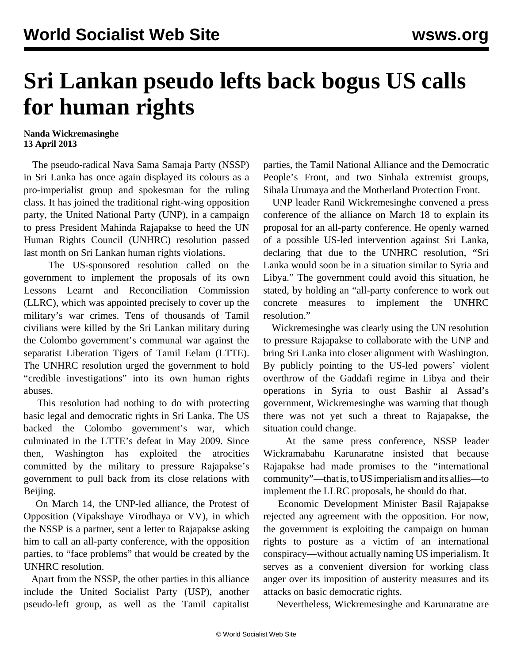## **Sri Lankan pseudo lefts back bogus US calls for human rights**

## **Nanda Wickremasinghe 13 April 2013**

 The pseudo-radical Nava Sama Samaja Party (NSSP) in Sri Lanka has once again displayed its colours as a pro-imperialist group and spokesman for the ruling class. It has joined the traditional right-wing opposition party, the United National Party (UNP), in a campaign to press President Mahinda Rajapakse to heed the UN Human Rights Council (UNHRC) resolution passed last month on Sri Lankan human rights violations.

 The US-sponsored resolution called on the government to implement the proposals of its own Lessons Learnt and Reconciliation Commission (LLRC), which was appointed precisely to cover up the military's war crimes. Tens of thousands of Tamil civilians were killed by the Sri Lankan military during the Colombo government's communal war against the separatist Liberation Tigers of Tamil Eelam (LTTE). The UNHRC resolution urged the government to hold "credible investigations" into its own human rights abuses.

 This resolution had nothing to do with protecting basic legal and democratic rights in Sri Lanka. The US backed the Colombo government's war, which culminated in the LTTE's defeat in May 2009. Since then, Washington has exploited the atrocities committed by the military to pressure Rajapakse's government to pull back from its close relations with Beijing.

 On March 14, the UNP-led alliance, the Protest of Opposition (Vipakshaye Virodhaya or VV), in which the NSSP is a partner, sent a letter to Rajapakse asking him to call an all-party conference, with the opposition parties, to "face problems" that would be created by the UNHRC resolution.

 Apart from the NSSP, the other parties in this alliance include the United Socialist Party (USP), another pseudo-left group, as well as the Tamil capitalist parties, the Tamil National Alliance and the Democratic People's Front, and two Sinhala extremist groups, Sihala Urumaya and the Motherland Protection Front.

 UNP leader Ranil Wickremesinghe convened a press conference of the alliance on March 18 to explain its proposal for an all-party conference. He openly warned of a possible US-led intervention against Sri Lanka, declaring that due to the UNHRC resolution, "Sri Lanka would soon be in a situation similar to Syria and Libya." The government could avoid this situation, he stated, by holding an "all-party conference to work out concrete measures to implement the UNHRC resolution."

 Wickremesinghe was clearly using the UN resolution to pressure Rajapakse to collaborate with the UNP and bring Sri Lanka into closer alignment with Washington. By publicly pointing to the US-led powers' violent overthrow of the Gaddafi regime in Libya and their operations in Syria to oust Bashir al Assad's government, Wickremesinghe was warning that though there was not yet such a threat to Rajapakse, the situation could change.

 At the same press conference, NSSP leader Wickramabahu Karunaratne insisted that because Rajapakse had made promises to the "international community"—that is, to US imperialism and its allies—to implement the LLRC proposals, he should do that.

 Economic Development Minister Basil Rajapakse rejected any agreement with the opposition. For now, the government is exploiting the campaign on human rights to posture as a victim of an international conspiracy—without actually naming US imperialism. It serves as a convenient diversion for working class anger over its imposition of austerity measures and its attacks on basic democratic rights.

Nevertheless, Wickremesinghe and Karunaratne are